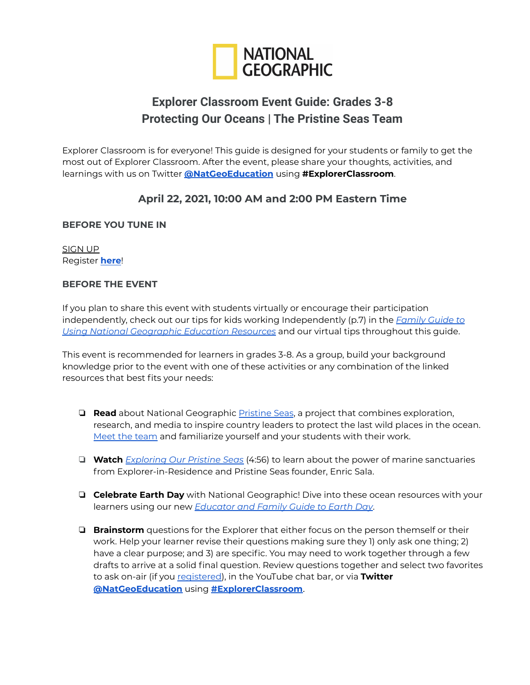

# **Explorer Classroom Event Guide: Grades 3-8 Protecting Our Oceans | The Pristine Seas Team**

Explorer Classroom is for everyone! This guide is designed for your students or family to get the most out of Explorer Classroom. After the event, please share your thoughts, activities, and learnings with us on Twitter **[@NatGeoEducation](https://twitter.com/NatGeoEducation)** using **#ExplorerClassroom**.

## **April 22, 2021, 10:00 AM and 2:00 PM Eastern Time**

## **BEFORE YOU TUNE IN**

SIGN UP Register **[here](https://www.nationalgeographic.org/education/student-experiences/explorer-classroom/)**!

### **BEFORE THE EVENT**

If you plan to share this event with students virtually or encourage their participation independently, check out our tips for kids working Independently (p.7) in the *[Family](https://media.nationalgeographic.org/assets/file/National_Geographic_Education_-_Family_Guide_September_2020.pdf) Guide to Using National [Geographic](https://media.nationalgeographic.org/assets/file/National_Geographic_Education_-_Family_Guide_September_2020.pdf) Education Resources* and our virtual tips throughout this guide.

This event is recommended for learners in grades 3-8. As a group, build your background knowledge prior to the event with one of these activities or any combination of the linked resources that best fits your needs:

- ❏ **Read** about National Geographic [Pristine](https://www.nationalgeographic.org/projects/pristine-seas/) Seas, a project that combines exploration, research, and media to inspire country leaders to protect the last wild places in the ocean. Meet the [team](https://www.nationalgeographic.org/projects/pristine-seas/meet-team/) and familiarize yourself and your students with their work.
- ❏ **Watch** *[Exploring](https://www.nationalgeographic.org/video/exploring-our-pristine-seas/) Our Pristine Seas* (4:56) to learn about the power of marine sanctuaries from Explorer-in-Residence and Pristine Seas founder, Enric Sala.
- ❏ **Celebrate Earth Day** with National Geographic! Dive into these ocean resources with your learners using our new *[Educator](https://media.nationalgeographic.org/assets/file/Earth_Day_2021_Guide_FINAL_1.pdf) and Family Guide to Earth Day*.
- ❏ **Brainstorm** questions for the Explorer that either focus on the person themself or their work. Help your learner revise their questions making sure they 1) only ask one thing; 2) have a clear purpose; and 3) are specific. You may need to work together through a few drafts to arrive at a solid final question. Review questions together and select two favorites to ask on-air (if you [registered](https://www.nationalgeographic.org/education/student-experiences/explorer-classroom/)), in the YouTube chat bar, or via **Twitter [@NatGeoEducation](https://twitter.com/NatGeoEducation)** using **[#ExplorerClassroom](https://twitter.com/hashtag/ExplorerClassroom?src=hashtag_click)**.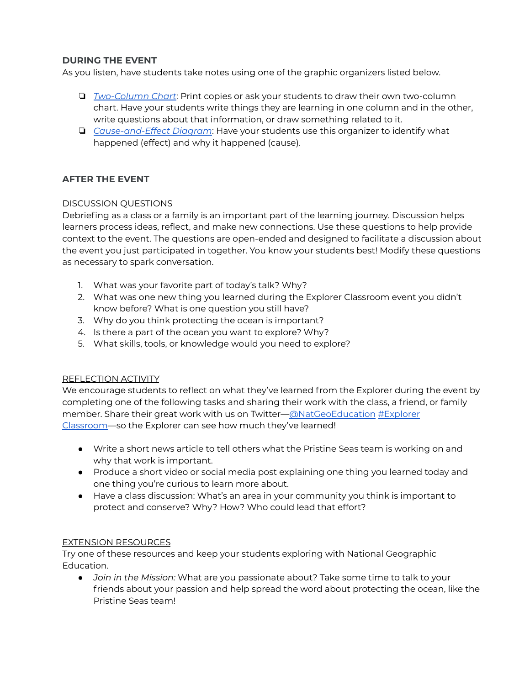## **DURING THE EVENT**

As you listen, have students take notes using one of the graphic organizers listed below.

- ❏ *[Two-Column](https://www.nationalgeographic.org/media/two-column-chart/) Chart*: Print copies or ask your students to draw their own two-column chart. Have your students write things they are learning in one column and in the other, write questions about that information, or draw something related to it.
- ❏ *[Cause-and-Effect](https://www.nationalgeographic.org/media/cause-and-effect-diagram/) Diagram*: Have your students use this organizer to identify what happened (effect) and why it happened (cause).

## **AFTER THE EVENT**

### DISCUSSION QUESTIONS

Debriefing as a class or a family is an important part of the learning journey. Discussion helps learners process ideas, reflect, and make new connections. Use these questions to help provide context to the event. The questions are open-ended and designed to facilitate a discussion about the event you just participated in together. You know your students best! Modify these questions as necessary to spark conversation.

- 1. What was your favorite part of today's talk? Why?
- 2. What was one new thing you learned during the Explorer Classroom event you didn't know before? What is one question you still have?
- 3. Why do you think protecting the ocean is important?
- 4. Is there a part of the ocean you want to explore? Why?
- 5. What skills, tools, or knowledge would you need to explore?

#### REFLECTION ACTIVITY

We encourage students to reflect on what they've learned from the Explorer during the event by completing one of the following tasks and sharing their work with the class, a friend, or family member. Share their great work with us on Twitter[—@NatGeoEducation](https://twitter.com/NatGeoEducation) [#Explorer](https://twitter.com/hashtag/ExplorerClassroom?src=hashtag_click) [Classroom—](https://twitter.com/hashtag/ExplorerClassroom?src=hashtag_click)so the Explorer can see how much they've learned!

- Write a short news article to tell others what the Pristine Seas team is working on and why that work is important.
- Produce a short video or social media post explaining one thing you learned today and one thing you're curious to learn more about.
- Have a class discussion: What's an area in your community you think is important to protect and conserve? Why? How? Who could lead that effort?

#### EXTENSION RESOURCES

Try one of these resources and keep your students exploring with National Geographic Education.

● *Join in the Mission:* What are you passionate about? Take some time to talk to your friends about your passion and help spread the word about protecting the ocean, like the Pristine Seas team!